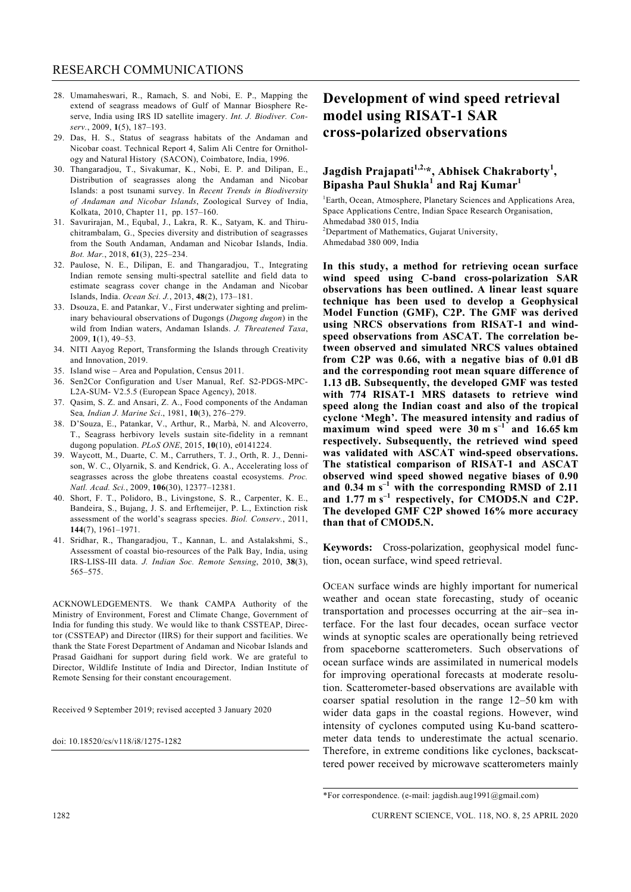- 28. Umamaheswari, R., Ramach, S. and Nobi, E. P., Mapping the extend of seagrass meadows of Gulf of Mannar Biosphere Reserve, India using IRS ID satellite imagery. *Int. J. Biodiver. Conserv.*, 2009, **1**(5), 187–193.
- 29. Das, H. S., Status of seagrass habitats of the Andaman and Nicobar coast. Technical Report 4, Salim Ali Centre for Ornithology and Natural History (SACON), Coimbatore, India, 1996.
- 30. Thangaradjou, T., Sivakumar, K., Nobi, E. P. and Dilipan, E., Distribution of seagrasses along the Andaman and Nicobar Islands: a post tsunami survey. In *Recent Trends in Biodiversity of Andaman and Nicobar Islands*, Zoological Survey of India, Kolkata, 2010, Chapter 11, pp. 157–160.
- 31. Savurirajan, M., Equbal, J., Lakra, R. K., Satyam, K. and Thiruchitrambalam, G., Species diversity and distribution of seagrasses from the South Andaman, Andaman and Nicobar Islands, India. *Bot. Mar.*, 2018, **61**(3), 225–234.
- 32. Paulose, N. E., Dilipan, E. and Thangaradjou, T., Integrating Indian remote sensing multi-spectral satellite and field data to estimate seagrass cover change in the Andaman and Nicobar Islands, India. *Ocean Sci. J.*, 2013, **48**(2), 173–181.
- 33. Dsouza, E. and Patankar, V., First underwater sighting and preliminary behavioural observations of Dugongs (*Dugong dugon*) in the wild from Indian waters, Andaman Islands. *J. Threatened Taxa*, 2009, **1**(1), 49–53.
- 34. NITI Aayog Report, Transforming the Islands through Creativity and Innovation, 2019.
- 35. Island wise Area and Population, Census 2011.
- 36. Sen2Cor Configuration and User Manual, Ref. S2-PDGS-MPC-L2A-SUM- V2.5.5 (European Space Agency), 2018.
- 37. Qasim, S. Z. and Ansari, Z. A., Food components of the Andaman Sea*, Indian J. Marine Sci*., 1981, **10**(3), 276–279.
- 38. D'Souza, E., Patankar, V., Arthur, R., Marbà, N. and Alcoverro, T., Seagrass herbivory levels sustain site-fidelity in a remnant dugong population. *PLoS ONE*, 2015, **10**(10), e0141224.
- 39. Waycott, M., Duarte, C. M., Carruthers, T. J., Orth, R. J., Dennison, W. C., Olyarnik, S. and Kendrick, G. A., Accelerating loss of seagrasses across the globe threatens coastal ecosystems. *Proc. Natl. Acad. Sci.*, 2009, **106**(30), 12377–12381.
- 40. Short, F. T., Polidoro, B., Livingstone, S. R., Carpenter, K. E., Bandeira, S., Bujang, J. S. and Erftemeijer, P. L., Extinction risk assessment of the world's seagrass species. *Biol. Conserv.*, 2011, **144**(7), 1961–1971.
- 41. Sridhar, R., Thangaradjou, T., Kannan, L. and Astalakshmi, S., Assessment of coastal bio-resources of the Palk Bay, India, using IRS-LISS-III data. *J. Indian Soc. Remote Sensing*, 2010, **38**(3), 565–575.

ACKNOWLEDGEMENTS. We thank CAMPA Authority of the Ministry of Environment, Forest and Climate Change, Government of India for funding this study. We would like to thank CSSTEAP, Director (CSSTEAP) and Director (IIRS) for their support and facilities. We thank the State Forest Department of Andaman and Nicobar Islands and Prasad Gaidhani for support during field work. We are grateful to Director, Wildlife Institute of India and Director, Indian Institute of Remote Sensing for their constant encouragement.

Received 9 September 2019; revised accepted 3 January 2020

doi: 10.18520/cs/v118/i8/1275-1282

## **Development of wind speed retrieval model using RISAT-1 SAR cross-polarized observations**

## **Jagdish Prajapati1,2,\*, Abhisek Chakraborty1 , Bipasha Paul Shukla<sup>1</sup> and Raj Kumar<sup>1</sup>**

<sup>1</sup>Earth, Ocean, Atmosphere, Planetary Sciences and Applications Area, Space Applications Centre, Indian Space Research Organisation, Ahmedabad 380 015, India

<sup>2</sup>Department of Mathematics, Gujarat University,

Ahmedabad 380 009, India

**In this study, a method for retrieving ocean surface wind speed using C-band cross-polarization SAR observations has been outlined. A linear least square technique has been used to develop a Geophysical Model Function (GMF), C2P. The GMF was derived using NRCS observations from RISAT-1 and windspeed observations from ASCAT. The correlation between observed and simulated NRCS values obtained from C2P was 0.66, with a negative bias of 0.01 dB and the corresponding root mean square difference of 1.13 dB. Subsequently, the developed GMF was tested with 774 RISAT-1 MRS datasets to retrieve wind speed along the Indian coast and also of the tropical cyclone 'Megh'. The measured intensity and radius of maximum wind speed were 30 m s–1 and 16.65 km respectively. Subsequently, the retrieved wind speed was validated with ASCAT wind-speed observations. The statistical comparison of RISAT-1 and ASCAT observed wind speed showed negative biases of 0.90 and 0.34 m s–1 with the corresponding RMSD of 2.11 and 1.77 m s–1 respectively, for CMOD5.N and C2P. The developed GMF C2P showed 16% more accuracy than that of CMOD5.N.** 

**Keywords:** Cross-polarization, geophysical model function, ocean surface, wind speed retrieval.

OCEAN surface winds are highly important for numerical weather and ocean state forecasting, study of oceanic transportation and processes occurring at the air–sea interface. For the last four decades, ocean surface vector winds at synoptic scales are operationally being retrieved from spaceborne scatterometers. Such observations of ocean surface winds are assimilated in numerical models for improving operational forecasts at moderate resolution. Scatterometer-based observations are available with coarser spatial resolution in the range 12–50 km with wider data gaps in the coastal regions. However, wind intensity of cyclones computed using Ku-band scatterometer data tends to underestimate the actual scenario. Therefore, in extreme conditions like cyclones, backscattered power received by microwave scatterometers mainly

<sup>\*</sup>For correspondence. (e-mail: jagdish.aug1991@gmail.com)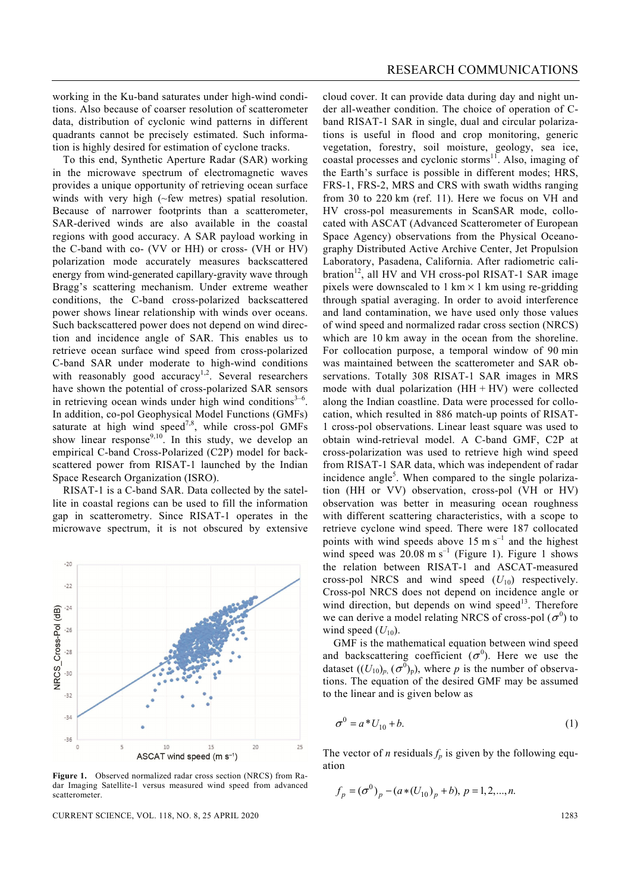working in the Ku-band saturates under high-wind conditions. Also because of coarser resolution of scatterometer data, distribution of cyclonic wind patterns in different quadrants cannot be precisely estimated. Such information is highly desired for estimation of cyclone tracks.

 To this end, Synthetic Aperture Radar (SAR) working in the microwave spectrum of electromagnetic waves provides a unique opportunity of retrieving ocean surface winds with very high (~few metres) spatial resolution. Because of narrower footprints than a scatterometer, SAR-derived winds are also available in the coastal regions with good accuracy. A SAR payload working in the C-band with co- (VV or HH) or cross- (VH or HV) polarization mode accurately measures backscattered energy from wind-generated capillary-gravity wave through Bragg's scattering mechanism. Under extreme weather conditions, the C-band cross-polarized backscattered power shows linear relationship with winds over oceans. Such backscattered power does not depend on wind direction and incidence angle of SAR. This enables us to retrieve ocean surface wind speed from cross-polarized C-band SAR under moderate to high-wind conditions with reasonably good accuracy<sup>1,2</sup>. Several researchers have shown the potential of cross-polarized SAR sensors in retrieving ocean winds under high wind conditions $3-6$ . In addition, co-pol Geophysical Model Functions (GMFs) saturate at high wind speed<sup>7,8</sup>, while cross-pol GMFs show linear response<sup>9,10</sup>. In this study, we develop an empirical C-band Cross-Polarized (C2P) model for backscattered power from RISAT-1 launched by the Indian Space Research Organization (ISRO).

 RISAT-1 is a C-band SAR. Data collected by the satellite in coastal regions can be used to fill the information gap in scatterometry. Since RISAT-1 operates in the microwave spectrum, it is not obscured by extensive



**Figure 1.** Observed normalized radar cross section (NRCS) from Radar Imaging Satellite-1 versus measured wind speed from advanced scatterometer.

CURRENT SCIENCE, VOL. 118, NO. 8, 25 APRIL 2020 1283

cloud cover. It can provide data during day and night under all-weather condition. The choice of operation of Cband RISAT-1 SAR in single, dual and circular polarizations is useful in flood and crop monitoring, generic vegetation, forestry, soil moisture, geology, sea ice, coastal processes and cyclonic storms $11$ . Also, imaging of the Earth's surface is possible in different modes; HRS, FRS-1, FRS-2, MRS and CRS with swath widths ranging from 30 to 220 km (ref. 11). Here we focus on VH and HV cross-pol measurements in ScanSAR mode, collocated with ASCAT (Advanced Scatterometer of European Space Agency) observations from the Physical Oceanography Distributed Active Archive Center, Jet Propulsion Laboratory, Pasadena, California. After radiometric calibration<sup>12</sup>, all HV and VH cross-pol RISAT-1 SAR image pixels were downscaled to  $1 \text{ km} \times 1 \text{ km}$  using re-gridding through spatial averaging. In order to avoid interference and land contamination, we have used only those values of wind speed and normalized radar cross section (NRCS) which are 10 km away in the ocean from the shoreline. For collocation purpose, a temporal window of 90 min was maintained between the scatterometer and SAR observations. Totally 308 RISAT-1 SAR images in MRS mode with dual polarization  $(HH + HV)$  were collected along the Indian coastline. Data were processed for collocation, which resulted in 886 match-up points of RISAT-1 cross-pol observations. Linear least square was used to obtain wind-retrieval model. A C-band GMF, C2P at cross-polarization was used to retrieve high wind speed from RISAT-1 SAR data, which was independent of radar incidence angle<sup>5</sup>. When compared to the single polarization (HH or VV) observation, cross-pol (VH or HV) observation was better in measuring ocean roughness with different scattering characteristics, with a scope to retrieve cyclone wind speed. There were 187 collocated points with wind speeds above 15 m  $s^{-1}$  and the highest wind speed was  $20.08 \text{ m s}^{-1}$  (Figure 1). Figure 1 shows the relation between RISAT-1 and ASCAT-measured cross-pol NRCS and wind speed  $(U_{10})$  respectively. Cross-pol NRCS does not depend on incidence angle or wind direction, but depends on wind speed $13$ . Therefore we can derive a model relating NRCS of cross-pol  $(\sigma^0)$  to wind speed  $(U_{10})$ .

 GMF is the mathematical equation between wind speed and backscattering coefficient  $(\sigma^0)$ . Here we use the dataset  $((U_{10})_p, (\sigma^0)_p)$ , where *p* is the number of observations. The equation of the desired GMF may be assumed to the linear and is given below as

$$
\sigma^0 = a \cdot U_{10} + b. \tag{1}
$$

The vector of *n* residuals  $f_p$  is given by the following equation

$$
f_p = (\sigma^0)_p - (a * (U_{10})_p + b), p = 1, 2, ..., n.
$$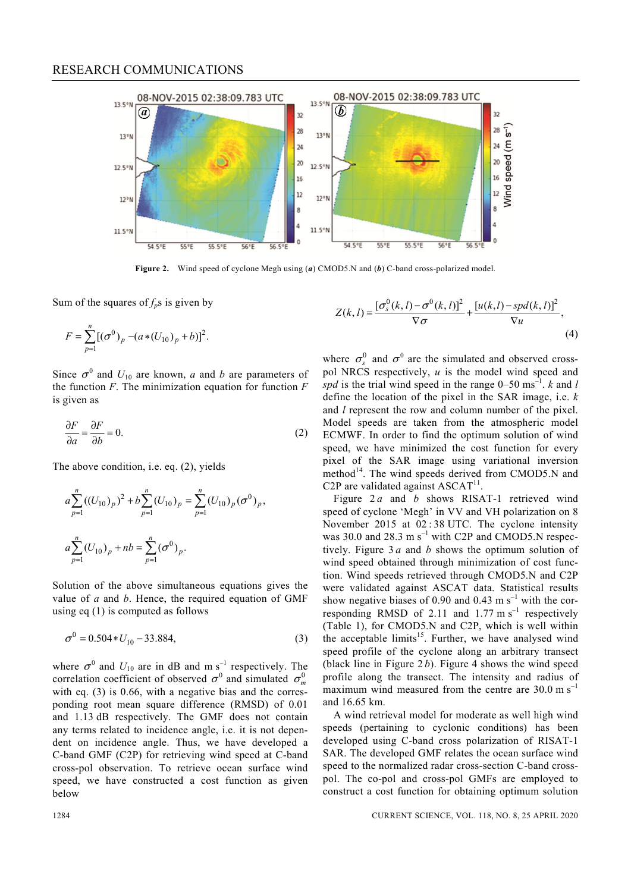

**Figure 2.** Wind speed of cyclone Megh using (*a*) CMOD5.N and (*b*) C-band cross-polarized model.

Sum of the squares of  $f_p$ s is given by

$$
F = \sum_{p=1}^{n} [(\sigma^{0})_{p} - (a * (U_{10})_{p} + b)]^{2}.
$$

Since  $\sigma^0$  and  $U_{10}$  are known, *a* and *b* are parameters of the function *F*. The minimization equation for function *F* is given as

$$
\frac{\partial F}{\partial a} = \frac{\partial F}{\partial b} = 0.
$$
 (2)

The above condition, i.e. eq. (2), yields

$$
a\sum_{p=1}^{n} ((U_{10})_p)^2 + b\sum_{p=1}^{n} (U_{10})_p = \sum_{p=1}^{n} (U_{10})_p (\sigma^0)_p,
$$
  

$$
a\sum_{p=1}^{n} (U_{10})_p + nb = \sum_{p=1}^{n} (\sigma^0)_p.
$$

Solution of the above simultaneous equations gives the value of *a* and *b*. Hence, the required equation of GMF using eq (1) is computed as follows

$$
\sigma^0 = 0.504 \cdot U_{10} - 33.884,\tag{3}
$$

where  $\sigma^0$  and  $U_{10}$  are in dB and m s<sup>-1</sup> respectively. The correlation coefficient of observed  $\sigma^0$  and simulated  $\sigma^0$ with eq. (3) is 0.66, with a negative bias and the corresponding root mean square difference (RMSD) of 0.01 and 1.13 dB respectively. The GMF does not contain any terms related to incidence angle, i.e. it is not dependent on incidence angle. Thus, we have developed a C-band GMF (C2P) for retrieving wind speed at C-band cross-pol observation. To retrieve ocean surface wind speed, we have constructed a cost function as given below

$$
Z(k,l) = \frac{\left[\sigma_s^0(k,l) - \sigma^0(k,l)\right]^2}{\nabla \sigma} + \frac{\left[u(k,l) - spd(k,l)\right]^2}{\nabla u},\tag{4}
$$

where  $\sigma_s^0$  and  $\sigma_s^0$  are the simulated and observed crosspol NRCS respectively, *u* is the model wind speed and *spd* is the trial wind speed in the range  $0-50$  ms<sup>-1</sup>. *k* and *l* define the location of the pixel in the SAR image, i.e. *k*  and *l* represent the row and column number of the pixel. Model speeds are taken from the atmospheric model ECMWF. In order to find the optimum solution of wind speed, we have minimized the cost function for every pixel of the SAR image using variational inversion method<sup>14</sup>. The wind speeds derived from CMOD5.N and C2P are validated against  $ASCAT<sup>11</sup>$ .

Figure 2*a* and *b* shows RISAT-1 retrieved wind speed of cyclone 'Megh' in VV and VH polarization on 8 November 2015 at 02 : 38 UTC. The cyclone intensity was 30.0 and 28.3 m  $s^{-1}$  with C2P and CMOD5.N respectively. Figure 3 *a* and *b* shows the optimum solution of wind speed obtained through minimization of cost function. Wind speeds retrieved through CMOD5.N and C2P were validated against ASCAT data. Statistical results show negative biases of 0.90 and 0.43 m  $s^{-1}$  with the corresponding RMSD of 2.11 and 1.77 m  $s^{-1}$  respectively (Table 1), for CMOD5.N and C2P, which is well within the acceptable limits<sup>15</sup>. Further, we have analysed wind speed profile of the cyclone along an arbitrary transect (black line in Figure 2 *b*). Figure 4 shows the wind speed profile along the transect. The intensity and radius of maximum wind measured from the centre are  $30.0 \text{ m s}^{-1}$ and 16.65 km.

 A wind retrieval model for moderate as well high wind speeds (pertaining to cyclonic conditions) has been developed using C-band cross polarization of RISAT-1 SAR. The developed GMF relates the ocean surface wind speed to the normalized radar cross-section C-band crosspol. The co-pol and cross-pol GMFs are employed to construct a cost function for obtaining optimum solution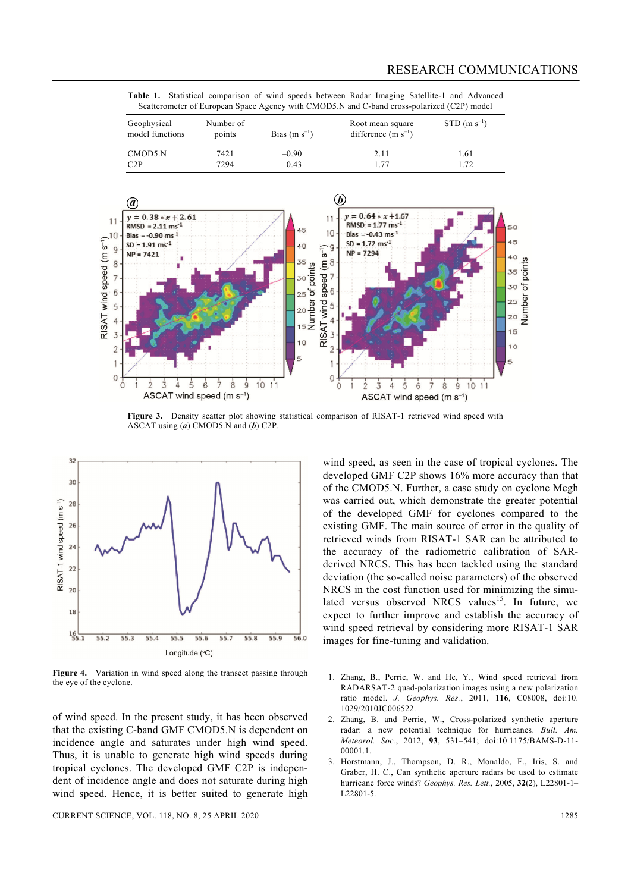**Table 1.** Statistical comparison of wind speeds between Radar Imaging Satellite-1 and Advanced Scatterometer of European Space Agency with CMOD5.N and C-band cross-polarized (C2P) model

| Geophysical<br>model functions | Number of<br>points | Bias $(m s^{-1})$ | Root mean square<br>difference $(m s^{-1})$ | $STD$ (m s <sup>-1</sup> ) |
|--------------------------------|---------------------|-------------------|---------------------------------------------|----------------------------|
| CMOD5.N                        | 7421                | $-0.90$           | 2.11                                        | 1.61                       |
| C2P                            | 7294                | $-0.43$           | 177                                         | 1.72                       |



Figure 3. Density scatter plot showing statistical comparison of RISAT-1 retrieved wind speed with ASCAT using (*a*) CMOD5.N and (*b*) C2P.



**Figure 4.** Variation in wind speed along the transect passing through the eye of the cyclone.

of wind speed. In the present study, it has been observed that the existing C-band GMF CMOD5.N is dependent on incidence angle and saturates under high wind speed. Thus, it is unable to generate high wind speeds during tropical cyclones. The developed GMF C2P is independent of incidence angle and does not saturate during high wind speed. Hence, it is better suited to generate high wind speed, as seen in the case of tropical cyclones. The developed GMF C2P shows 16% more accuracy than that of the CMOD5.N. Further, a case study on cyclone Megh was carried out, which demonstrate the greater potential of the developed GMF for cyclones compared to the existing GMF. The main source of error in the quality of retrieved winds from RISAT-1 SAR can be attributed to the accuracy of the radiometric calibration of SARderived NRCS. This has been tackled using the standard deviation (the so-called noise parameters) of the observed NRCS in the cost function used for minimizing the simulated versus observed NRCS values<sup>15</sup>. In future, we expect to further improve and establish the accuracy of wind speed retrieval by considering more RISAT-1 SAR images for fine-tuning and validation.

- 1. Zhang, B., Perrie, W. and He, Y., Wind speed retrieval from RADARSAT-2 quad-polarization images using a new polarization ratio model. *J. Geophys. Res.*, 2011, **116**, C08008, doi:10. 1029/2010JC006522.
- 2. Zhang, B. and Perrie, W., Cross-polarized synthetic aperture radar: a new potential technique for hurricanes. *Bull. Am. Meteorol. Soc.*, 2012, **93**, 531–541; doi:10.1175/BAMS-D-11- 00001.1.
- 3. Horstmann, J., Thompson, D. R., Monaldo, F., Iris, S. and Graber, H. C., Can synthetic aperture radars be used to estimate hurricane force winds? *Geophys. Res. Lett.*, 2005, **32**(2), L22801-1– L22801-5.